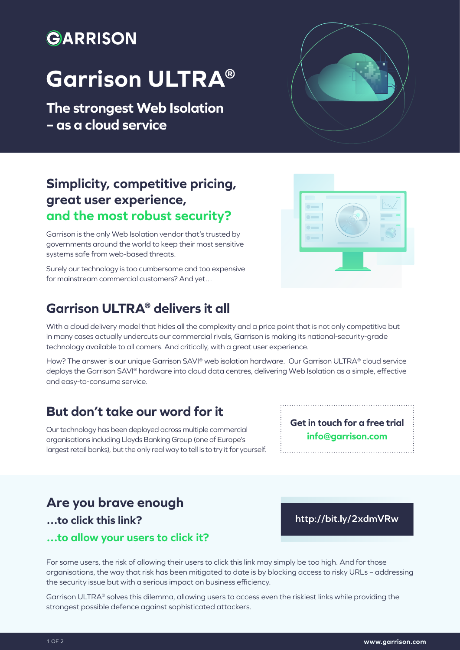## GARRISON

# **Garrison ULTRA®**

**The strongest Web Isolation – as a cloud service**

### **Simplicity, competitive pricing, great user experience, and the most robust security?**

Garrison is the only Web Isolation vendor that's trusted by governments around the world to keep their most sensitive systems safe from web-based threats.

Surely our technology is too cumbersome and too expensive for mainstream commercial customers? And yet…

#### **Garrison ULTRA® delivers it all**

With a cloud delivery model that hides all the complexity and a price point that is not only competitive but in many cases actually undercuts our commercial rivals, Garrison is making its national-security-grade technology available to all comers. And critically, with a great user experience.

How? The answer is our unique Garrison SAVI® web isolation hardware. Our Garrison ULTRA® cloud service deploys the Garrison SAVI® hardware into cloud data centres, delivering Web Isolation as a simple, effective and easy-to-consume service.

#### **But don't take our word for it**

Our technology has been deployed across multiple commercial organisations including Lloyds Banking Group (one of Europe's largest retail banks), but the only real way to tell is to try it for yourself.

#### **Are you brave enough**

**…to click this link?**

**…to allow your users to click it?**

For some users, the risk of allowing their users to click this link may simply be too high. And for those organisations, the way that risk has been mitigated to date is by blocking access to risky URLs – addressing the security issue but with a serious impact on business efficiency.

Garrison ULTRA® solves this dilemma, allowing users to access even the riskiest links while providing the strongest possible defence against sophisticated attackers.





http://bit.ly/2xdmVRw

**Get in touch for a free trial info@garrison.com**